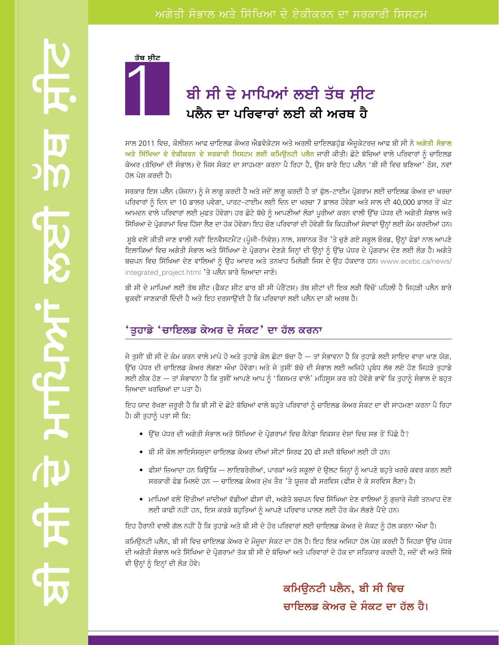

## ਅਗੇਤੀ ਸੰਭਾਲ ਅਤੇ ਸਿੱਖਿਆ ਦੇ ਏਕੀਕਰਨ ਦਾ ਸਰਕਾਰੀ ਸਿਸਟਮ

# ਬੀ ਸੀ ਦੇ ਮਾਪਿਆਂ ਲਈ ਤੱਥ ਸ਼ੀਟ ਪਲੈਨ ਦਾ ਪਰਿਵਾਰਾਂ ਲਈ ਕੀ ਅਰਥ ਹੈ

ਸਾਲ 2011 ਵਿਚ, ਕੋਲੀਸ਼ਨ ਆਫ ਚਾਇਲਡ ਕੇਅਰ ਐਡਵੋਕੇਟਸ ਅਤੇ ਅਰਲੀ ਚਾਇਲਡਹੁੱਡ ਐਜੁਕੇਟਰਜ਼ ਆਫ ਬੀ ਸੀ ਨੇ <mark>ਅਗੇਤੀ ਸੰਭਾਲ</mark> ਅਤੇ ਸਿੱਖਿਆ ਦੇ ਏਕੀਕਰਨ ਦੇ ਸਰਕਾਰੀ ਸਿਸਟਮ ਲਈ ਕਮਿਊਨਟੀ ਪਲੈਨ ਜਾਰੀ ਕੀਤੀ। ਛੋਟੇ ਬੱਚਿਆਂ ਵਾਲੇ ਪਰਿਵਾਰਾਂ ਨੂੰ ਚਾਇਲਡ ਕੇਅਰ (ਬੱਚਿਆਂ ਦੀ ਸੰਭਾਲ) ਦੇ ਜਿਸ ਸੈਕਟ ਦਾ ਸਾਹਮਣਾ ਕਰਨਾ ਪੈ ਰਿਹਾ ਹੈ, ਉਸ ਬਾਰੇ ਇਹ ਪਲੈਨ 'ਬੀ ਸੀ ਵਿਚ ਬਣਿਆ' ਠੋਸ, ਨਵਾਂ ਹੱਲ ਪੇਸ਼ ਕਰਦੀ ਹੈ।

ਸਰਕਾਰ ਇਸ ਪਲੈਨ (ਯੋਜਨਾ) ਨੂੰ ਜੇ ਲਾਗੂ ਕਰਦੀ ਹੈ ਅਤੇ ਜਦੋਂ ਲਾਗੂ ਕਰਦੀ ਹੈ ਤਾਂ ਫੁੱਲ-ਟਾਈਮ ਪ੍ਰੋਗਰਾਮ ਲਈ ਚਾਇਲਡ ਕੇਅਰ ਦਾ ਖਰਚਾ ਪਰਿਵਾਰਾਂ ਨੂੰ ਦਿਨ ਦਾ 10 ਡਾਲਰ ਪਵੇਗਾ, ਪਾਰਟ-ਟਾਈਮ ਲਈ ਦਿਨ ਦਾ ਖਰਚਾ 7 ਡਾਲਰ ਹੋਵੇਗਾ ਅਤੇ ਸਾਲ ਦੀ 40,000 ਡਾਲਰ ਤੋਂ ਘੱਟ ਆਮਦਨ ਵਾਲੇ ਪਰਿਵਾਰਾਂ ਲਈ ਮੁਫਤ ਹੋਵੇਗਾ। ਹਰ ਛੋਟੇ ਬੱਚੇ ਨੂੰ ਆਪਣੀਆਂ ਲੋੜਾਂ ਪੂਰੀਆਂ ਕਰਨ ਵਾਲੀ ਉੱਚ ਪੱਧਰ ਦੀ ਅਗੇਤੀ ਸੰਭਾਲ ਅਤੇ ਸਿੱਖਿਆ ਦੇ ਪ੍ਰੋਗਰਾਮਾਂ ਵਿਚ ਹਿੱਸਾ ਲੈਣ ਦਾ ਹੱਕ ਹੋਵੇਗਾ। ਇਹ ਚੋਣ ਪਰਿਵਾਰਾਂ ਦੀ ਹੋਵੇਗੀ ਕਿ ਕਿਹੜੀਆਂ ਸੇਵਾਵਾਂ ਉਨ੍ਹਾਂ ਲਈ ਕੰਮ ਕਰਦੀਆਂ ਹਨ।

ਸੂਬੇ ਵਲੋਂ ਕੀਤੀ ਜਾਣ ਵਾਲੀ ਨਵੀਂ ਇਨਵੈਸਟਮੈਂਟ (ਪੂੰਜੀ–ਨਿਵੇਸ਼) ਨਾਲ, ਸਥਾਨਕ ਤੌਰ 'ਤੇ ਚੁਣੇ ਗਏ ਸਕੂਲ ਬੋਰਡ, ਉਨ੍ਹਾਂ ਫੰਡਾਂ ਨਾਲ ਆਪਣੇ ਇਲਾਕਿਆਂ ਵਿਚ ਅਗੇਤੀ ਸੰਭਾਲ ਅਤੇ ਸਿੱਖਿਆ ਦੇ ਪ੍ਰੋਗਰਾਮ ਦੇਣਗੇ ਜਿਨ੍ਹਾਂ ਦੀ ਉਨ੍ਹਾਂ ਨੂੰ ਉੱਚ ਪੱਧਰ ਦੇ ਪ੍ਰੋਗਰਾਮ ਦੇਣ ਲਈ ਲੋੜ ਹੈ। ਅਗੇਤੇ ਬਚਪਨ ਵਿਚ ਸਿੱਖਿਆ ਦੇਣ ਵਾਲਿਆਂ ਨੂੰ ਉਹ ਆਦਰ ਅਤੇ ਤਨਖਾਹ ਮਿਲੇਗੀ ਜਿਸ ਦੇ ਉਹ ਹੱਕਦਾਰ ਹਨ। www.ecebc.ca/news/ integrated\_project.html 'ਤੇ ਪਲੈਨ ਬਾਰੇ ਜ਼ਿਆਦਾ ਜਾਣੋ।

ਬੀ ਸੀ ਦੇ ਮਾਪਿਆਂ ਲਈ ਤੱਥ ਸੀਟ (ਫੈਕਟ ਸ਼ੀਟ ਫਾਰ ਬੀ ਸੀ ਪੇਰੈਂਟਸ) ਤੱਥ ਸ਼ੀਟਾਂ ਦੀ ਇਕ ਲੜੀ ਵਿੱਚੋਂ ਪਹਿਲੀ ਹੈ ਜਿਹੜੀ ਪਲੈਨ ਬਾਰੇ ਢਕਵੀਂ ਜਾਣਕਾਰੀ ਦਿੰਦੀ ਹੈ ਅਤੇ ਇਹ ਦਰਸਾੳਂਦੀ ਹੈ ਕਿ ਪਰਿਵਾਰਾਂ ਲਈ ਪਲੈਨ ਦਾ ਕੀ ਅਰਥ ਹੈ।

#### 'ਤੁਹਾਡੇ 'ਚਾਇਲਡ ਕੇਅਰ ਦੇ ਸੰਕਟ' ਦਾ ਹੱਲ ਕਰਨਾ

ਜੇ ਤੁਸੀਂ ਬੀ ਸੀ ਦੇ ਕੰਮ ਕਰਨ ਵਾਲੇ ਮਾਪੇ ਹੋ ਅਤੇ ਤੁਹਾਡੇ ਕੋਲ ਛੋਟਾ ਬੱਚਾ ਹੈ — ਤਾਂ ਸੰਭਾਵਨਾ ਹੈ ਕਿ ਤੁਹਾਡੇ ਲਈ ਸ਼ਾਇਦ ਵਾਰਾ ਖਾਣ ਯੋਗ, ਉੱਚ ਪੱਧਰ ਦੀ ਚਾਇਲਡ ਕੇਅਰ ਲੱਭਣਾ ਔਖਾ ਹੋਵੇਗਾ। ਅਤੇ ਜੇ ਤੁਸੀਂ ਬੱਚੇ ਦੀ ਸੰਭਾਲ ਲਈ ਅਜਿਹੇ ਪ੍ਰਬੰਧ ਲੱਭ ਲਏ ਹੋਣ ਜਿਹੜੇ ਤੁਹਾਡੇ ਲਈ ਠੀਕ ਹੋਣ — ਤਾਂ ਸੰਭਾਵਨਾ ਹੈ ਕਿ ਤੁਸੀਂ ਆਪਣੇ ਆਪ ਨੂੰ 'ਕਿਸਮਤ ਵਾਲੇ' ਮਹਿਸੂਸ ਕਰ ਰਹੇ ਹੋਵੋਗੇ ਭਾਵੇਂ ਕਿ ਤੁਹਾਨੂੰ ਸੰਭਾਲ ਦੇ ਬਹੁਤ ਜ਼ਿਆਦਾ ਖਰਚਿਆਂ ਦਾ ਪਤਾ ਹੈ।

ਇਹ ਯਾਦ ਰੱਖਣਾ ਜ਼ਰੂਰੀ ਹੈ ਕਿ ਬੀ ਸੀ ਦੇ ਛੋਟੇ ਬੱਚਿਆਂ ਵਾਲੇ ਬਹੁਤੇ ਪਰਿਵਾਰਾਂ ਨੂੰ ਚਾਇਲਡ ਕੇਅਰ ਸੰਕਟ ਦਾ ਵੀ ਸਾਹਮਣਾ ਕਰਨਾ ਪੈ ਰਿਹਾ ਹੈ। ਕੀ ਤੁਹਾਨੂੰ ਪਤਾ ਸੀ ਕਿ:

- ਉੱਚ ਪੱਧਰ ਦੀ ਅਗੇਤੀ ਸੰਭਾਲ ਅਤੇ ਸਿੱਖਿਆ ਦੇ ਪ੍ਰੋਗਰਾਮਾਂ ਵਿਚ ਕੈਨੇਡਾ ਵਿਕਸਤ ਦੇਸ਼ਾਂ ਵਿਚ ਸਭ ਤੋਂ ਪਿੱਛੇ ਹੈ?
- ਬੀ ਸੀ ਕੋਲ ਲਾਇਸੰਸਸ਼ੁਦਾ ਚਾਇਲਡ ਕੇਅਰ ਦੀਆਂ ਸੀਟਾਂ ਸਿਰਫ 20 ਫੀ ਸਦੀ ਬੱਚਿਆਂ ਲਈ ਹੀ ਹਨ।
- ਫੀਸਾਂ ਜ਼ਿਆਦਾ ਹਨ ਕਿਉਂਕਿ ਲਾਇਬਰੇਰੀਆਂ, ਪਾਰਕਾਂ ਅਤੇ ਸਕੂਲਾਂ ਦੇ ਉਲਟ ਜਿਨ੍ਹਾਂ ਨੂੰ ਆਪਣੇ ਬਹੁਤੇ ਖਰਚੇ ਕਵਰ ਕਰਨ ਲਈ ਸਰਕਾਰੀ ਫੰਡ ਮਿਲਦੇ ਹਨ — ਚਾਇਲਡ ਕੇਅਰ ਮੁੱਖ ਤੌਰ 'ਤੇ ਯੁਜ਼ਰ ਫੀ ਸਰਵਿਸ (ਫੀਸ ਦੇ ਕੇ ਸਰਵਿਸ ਲੈਣਾ) ਹੈ।
- ਮਾਪਿਆਂ ਵਲੋਂ ਦਿੱਤੀਆਂ ਜਾਂਦੀਆਂ ਵੱਡੀਆਂ ਫੀਸਾਂ ਵੀ, ਅਗੇਤੇ ਬਚਪਨ ਵਿਚ ਸਿੱਖਿਆ ਦੇਣ ਵਾਲਿਆਂ ਨੂੰ ਗੁਜ਼ਾਰੇ ਜੋਗੀ ਤਨਖਾਹ ਦੇਣ ਲਈ ਕਾਫੀ ਨਹੀਂ ਹਨ, ਇਸ ਕਰਕੇ ਬਹੁਤਿਆਂ ਨੂੰ ਆਪਣੇ ਪਰਿਵਾਰ ਪਾਲਣ ਲਈ ਹੋਰ ਕੰਮ ਲੱਭਣੇ ਪੈਂਦੇ ਹਨ।

ਇਹ ਹੈਰਾਨੀ ਵਾਲੀ ਗੱਲ ਨਹੀਂ ਹੈ ਕਿ ਤਹਾਡੇ ਅਤੇ ਬੀ ਸੀ ਦੇ ਹੋਰ ਪਰਿਵਾਰਾਂ ਲਈ ਚਾਇਲਡ ਕੇਅਰ ਦੇ ਸੈਕਟ ਨੂੰ ਹੱਲ ਕਰਨਾ ਔਖਾ ਹੈ।

ਕਮਿਊਨਟੀ ਪਲੈਨ, ਬੀ ਸੀ ਵਿਚ ਚਾਇਲਡ ਕੇਅਰ ਦੇ ਮੌਜੂਦਾ ਸੈਕਟ ਦਾ ਹੱਲ ਹੈ। ਇਹ ਇਕ ਅਜਿਹਾ ਹੱਲ ਪੇਸ਼ ਕਰਦੀ ਹੈ ਜਿਹੜਾ ਉੱਚ ਪੱਧਰ ਦੀ ਅਗੇਤੀ ਸੰਭਾਲ ਅਤੇ ਸਿੱਖਿਆ ਦੇ ਪ੍ਰੋਗਰਾਮਾਂ ਤੱਕ ਬੀ ਸੀ ਦੇ ਬੱਚਿਆਂ ਅਤੇ ਪਰਿਵਾਰਾਂ ਦੇ ਹੱਕ ਦਾ ਸਤਿਕਾਰ ਕਰਦੀ ਹੈ, ਜਦੋਂ ਵੀ ਅਤੇ ਜਿੱਥੇ ਵੀ ਉਨ੍ਹਾਂ ਨੂੰ ਇਨ੍ਹਾਂ ਦੀ ਲੋੜ ਹੋਵੇ।

> ਕਮਿਊਨਟੀ ਪਲੈਨ, ਬੀ ਸੀ ਵਿਚ ਚਾਇਲਡ ਕੇਅਰ ਦੇ ਸੰਕਟ ਦਾ ਹੱਲ ਹੈ।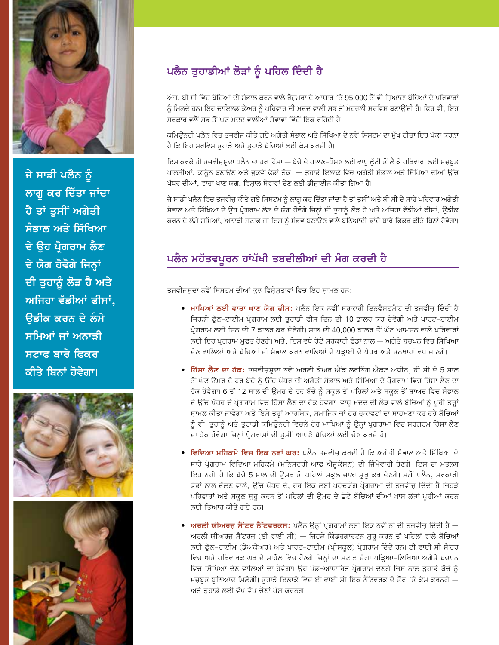

ਜੇ ਸਾਡੀ ਪਲੈਨ ਨੂੰ ਲਾਗੂ ਕਰ ਦਿੱਤਾ ਜਾਂਦਾ ਹੈ ਤਾਂ ਤਸੀਂ ਅਗੇਤੀ ਸੰਭਾਲ ਅਤੇ ਸਿੱਖਿਆ ਦੇ ੳਹ ਪੋਗਰਾਮ ਲੈਣ ਦੇ ਯੋਗ ਹੋਵੋਗੇ ਜਿਨ੍ਹਾਂ ਦੀ ਤੁਹਾਨੂੰ ਲੋੜ ਹੈ ਅਤੇ ਅਜਿਹਾ ਵੱਡੀਆਂ ਫੀਸਾਂ. **ੳਡੀਕ ਕਰਨ ਦੇ ਲੰਮੇ** ਸਮਿਆਂ ਜਾਂ ਅਨਾੜੀ ਸਟਾਫ ਬਾਰੇ ਫਿਕਰ ਕੀਤੇ ਬਿਨਾਂ ਹੋਵੇਗਾ।





# ਪਲੈਨ ਤੁਹਾਡੀਆਂ ਲੋੜਾਂ ਨੂੰ ਪਹਿਲ ਦਿੰਦੀ ਹੈ

ਅੱਜ, ਬੀ ਸੀ ਵਿਚ ਬੱਚਿਆਂ ਦੀ ਸੰਭਾਲ ਕਰਨ ਵਾਲੇ ਰੋਜ਼ਮਰਾ ਦੇ ਆਧਾਰ 'ਤੇ 95,000 ਤੋਂ ਵੀ ਜ਼ਿਆਦਾ ਬੱਚਿਆਂ ਦੇ ਪਰਿਵਾਰਾਂ ਨੂੰ ਮਿਲਦੇ ਹਨ। ਇਹ ਚਾਇਲਡ ਕੇਅਰ ਨੂੰ ਪਰਿਵਾਰ ਦੀ ਮਦਦ ਵਾਲੀ ਸਭ ਤੋਂ ਮੋਹਰਲੀ ਸਰਵਿਸ ਬਣਾਉਂਦੀ ਹੈ। ਫਿਰ ਵੀ, ਇਹ ਸਰਕਾਰ ਵਲੋਂ ਸਭ ਤੋਂ ਘੱਟ ਮਦਦ ਵਾਲੀਆਂ ਸੇਵਾਵਾਂ ਵਿੱਚੋਂ ਇਕ ਰਹਿੰਦੀ ਹੈ।

ਕਮਿਊਨਟੀ ਪਲੈਨ ਵਿਚ ਤਜਵੀਜ਼ ਕੀਤੇ ਗਏ ਅਗੇਤੀ ਸੰਭਾਲ ਅਤੇ ਸਿੱਖਿਆ ਦੇ ਨਵੇਂ ਸਿਸਟਮ ਦਾ ਮੁੱਖ ਟੀਚਾ ਇਹ ਪੱਕਾ ਕਰਨਾ ਹੈ ਕਿ ਇਹ ਸਰਵਿਸ ਤਹਾਡੇ ਅਤੇ ਤਹਾਡੇ ਬੱਚਿਆਂ ਲਈ ਕੰਮ ਕਰਦੀ ਹੈ।

ਇਸ ਕਰਕੇ ਹੀ ਤਜਵੀਜ਼ਸੂਦਾ ਪਲੈਨ ਦਾ ਹਰ ਹਿੱਸਾ — ਬੱਚੇ ਦੇ ਪਾਲਣ-ਪੋਸਣ ਲਈ ਵਾਧੂ ਛੁੱਟੀ ਤੋਂ ਲੈ ਕੇ ਪਰਿਵਾਰਾਂ ਲਈ ਮਜ਼ਬੂਤ ਪਾਲਸੀਆਂ, ਕਾਨੂੰਨ ਬਣਾਉਣ ਅਤੇ ਢੁਕਵੇਂ ਫੰਡਾਂ ਤੱਕ — ਤੁਹਾਡੇ ਇਲਾਕੇ ਵਿਚ ਅਗੇਤੀ ਸੰਭਾਲ ਅਤੇ ਸਿੱਖਿਆ ਦੀਆਂ ਉੱਚ ਪੱਧਰ ਦੀਆਂ, ਵਾਰਾ ਖਾਣ ਯੋਗ, ਵਿਸ਼ਾਲ ਸੇਵਾਵਾਂ ਦੇਣ ਲਈ ਡੀਜ਼ਾਈਨ ਕੀਤਾ ਗਿਆ ਹੈ।

ਜੇ ਸਾਡੀ ਪਲੈਨ ਵਿਚ ਤਜਵੀਜ਼ ਕੀਤੇ ਗਏ ਸਿਸਟਮ ਨੂੰ ਲਾਗੂ ਕਰ ਦਿੱਤਾ ਜਾਂਦਾ ਹੈ ਤਾਂ ਤੁਸੀਂ ਅਤੇ ਬੀ ਸੀ ਦੇ ਸਾਰੇ ਪਰਿਵਾਰ ਅਗੇਤੀ ਸੰਭਾਲ ਅਤੇ ਸਿੱਖਿਆ ਦੇ ਉਹ ਪ੍ਰੋਗਰਾਮ ਲੈਣ ਦੇ ਯੋਗ ਹੋਵੋਗੇ ਜਿਨ੍ਹਾਂ ਦੀ ਤੁਹਾਨੂੰ ਲੋੜ ਹੈ ਅਤੇ ਅਜਿਹਾ ਵੱਡੀਆਂ ਫੀਸਾਂ, ਉਡੀਕ ਕਰਨ ਦੇ ਲੰਮੇ ਸਮਿਆਂ, ਅਨਾੜੀ ਸਟਾਫ ਜਾਂ ਇਸ ਨੂੰ ਸੰਭਵ ਬਣਾਉਣ ਵਾਲੇ ਬਨਿਆਦੀ ਢਾਂਚੇ ਬਾਰੇ ਫਿਕਰ ਕੀਤੇ ਬਿਨਾਂ ਹੋਵੇਗਾ।

#### ਪਲੈਨ ਮਹੱਤਵਪੂਰਨ ਹਾਂਪੱਖੀ ਤਬਦੀਲੀਆਂ ਦੀ ਮੰਗ ਕਰਦੀ ਹੈ

ਤਜਵੀਜ਼ਸ਼ੁਦਾ ਨਵੇਂ ਸਿਸਟਮ ਦੀਆਂ ਕੁਝ ਵਿਸ਼ੇਸ਼ਤਾਵਾਂ ਵਿਚ ਇਹ ਸ਼ਾਮਲ ਹਨ:

- ਮਾਪਿਆਂ ਲਈ ਵਾਰਾ ਖਾਣ ਯੋਗ ਫੀਸ: ਪਲੈਨ ਇਕ ਨਵੀਂ ਸਰਕਾਰੀ ਇਨਵੈਸਟਮੈਂਟ ਦੀ ਤਜਵੀਜ਼ ਦਿੰਦੀ ਹੈ ਜਿਹੜੀ ਫੱਲ-ਟਾਈਮ ਪ੍ਰੋਗਰਾਮ ਲਈ ਤਹਾਡੀ ਫੀਸ ਦਿਨ ਦੀ 10 ਡਾਲਰ ਕਰ ਦੇਵੇਗੀ ਅਤੇ ਪਾਰਟ-ਟਾਈਮ ਪ੍ਰੋਗਰਾਮ ਲਈ ਦਿਨ ਦੀ 7 ਡਾਲਰ ਕਰ ਦੇਵੇਗੀ। ਸਾਲ ਦੀ 40,000 ਡਾਲਰ ਤੋਂ ਘੱਟ ਆਮਦਨ ਵਾਲੇ ਪਰਿਵਾਰਾਂ ਲਈ ਇਹ ਪ੍ਰੋਗਰਾਮ ਮੁਫਤ ਹੋਣਗੇ। ਅਤੇ, ਇਸ ਵਧੇ ਹੋਏ ਸਰਕਾਰੀ ਫੰਡਾਂ ਨਾਲ — ਅਗੇਤੇ ਬਚਪਨ ਵਿਚ ਸਿੱਖਿਆ ਦੇਣ ਵਾਲਿਆਂ ਅਤੇ ਬੱਚਿਆਂ ਦੀ ਸੰਭਾਲ ਕਰਨ ਵਾਲਿਆਂ ਦੇ ਪੜ੍ਹਾਈ ਦੇ ਪੱਧਰ ਅਤੇ ਤਨਖਾਹਾਂ ਵਧ ਜਾਣਗੇ।
- ਹਿੱਸਾ ਲੈਣ ਦਾ ਹੱਕ: ਤਜਵੀਜ਼ਸ਼ਦਾ ਨਵੇਂ ਅਰਲੀ ਕੇਅਰ ਐਂਡ ਲਰਨਿੰਗ ਐਕਟ ਅਧੀਨ, ਬੀ ਸੀ ਦੇ 5 ਸਾਲ ਤੋਂ ਘੱਟ ਉਮਰ ਦੇ ਹਰ ਬੱਚੇ ਨੂੰ ਉੱਚ ਪੱਧਰ ਦੀ ਅਗੇਤੀ ਸੰਭਾਲ ਅਤੇ ਸਿੱਖਿਆ ਦੇ ਪ੍ਰੋਗਰਾਮ ਵਿਚ ਹਿੱਸਾ ਲੈਣ ਦਾ ਹੱਕ ਹੋਵੇਗਾ। 6 ਤੋਂ 12 ਸਾਲ ਦੀ ਉਮਰ ਦੇ ਹਰ ਬੱਚੇ ਨੂੰ ਸਕੂਲ ਤੋਂ ਪਹਿਲਾਂ ਅਤੇ ਸਕੂਲ ਤੋਂ ਬਾਅਦ ਵਿਚ ਸੰਭਾਲ ਦੇ ਉੱਚ ਪੱਧਰ ਦੇ ਪ੍ਰੋਗਰਾਮ ਵਿਚ ਹਿੱਸਾ ਲੈਣ ਦਾ ਹੱਕ ਹੋਵੇਗਾ। ਵਾਧੂ ਮਦਦ ਦੀ ਲੋੜ ਵਾਲੇ ਬੱਚਿਆਂ ਨੂੰ ਪੂਰੀ ਤਰ੍ਹਾਂ ਸ਼ਾਮਲ ਕੀਤਾ ਜਾਵੇਗਾ ਅਤੇ ਇਸੇ ਤਰ੍ਹਾਂ ਆਰਥਿਕ, ਸਮਾਜਿਕ ਜਾਂ ਹੋਰ ਰਕਾਵਟਾਂ ਦਾ ਸਾਹਮਣਾ ਕਰ ਰਹੇ ਬੱਚਿਆਂ ਨੂੰ ਵੀ। ਤੁਹਾਨੂੰ ਅਤੇ ਤੁਹਾਡੀ ਕਮਿਊਨਟੀ ਵਿਚਲੇ ਹੋਰ ਮਾਪਿਆਂ ਨੂੰ ਉਨ੍ਹਾਂ ਪ੍ਰੋਗਰਾਮਾਂ ਵਿਚ ਸਰਗਰਮ ਹਿੱਸਾ ਲੈਣ ਦਾ ਹੱਕ ਹੋਵੇਗਾ ਜਿਨਾਂ ਪੋਗਰਾਮਾਂ ਦੀ ਤਸੀਂ ਆਪਣੇ ਬੱਚਿਆਂ ਲਈ ਚੋਣ ਕਰਦੇ ਹੋ।
- ਵਿਦਿਆ ਮਹਿਕਮੇ ਵਿਚ ਇਕ ਨਵਾਂ ਘਰ: ਪਲੈਨ ਤਜਵੀਜ ਕਰਦੀ ਹੈ ਕਿ ਅਗੇਤੀ ਸੰਭਾਲ ਅਤੇ ਸਿੱਖਿਆ ਦੇ ਸਾਰੇ ਪ੍ਰੋਗਰਾਮ ਵਿਦਿਆ ਮਹਿਕਮੇ (ਮਨਿਸਟਰੀ ਆਫ ਐਜਕੇਸ਼ਨ) ਦੀ ਜ਼ਿੰਮੇਵਾਰੀ ਹੋਣਗੇ। ਇਸ ਦਾ ਮਤਲਬ ਇਹ ਨਹੀਂ ਹੈ ਕਿ ਬੱਚੇ 5 ਸਾਲ ਦੀ ਉਮਰ ਤੋਂ ਪਹਿਲਾਂ ਸਕੂਲ ਜਾਣਾ ਸ਼ੁਰੂ ਕਰ ਦੇਣਗੇ। ਸਗੋਂ ਪਲੈਨ, ਸਰਕਾਰੀ ਫੈਡਾਂ ਨਾਲ ਚੱਲਣ ਵਾਲੇ, ਉੱਚ ਪੱਧਰ ਦੇ, ਹਰ ਇਕ ਲਈ ਪਹੁੰਚਯੋਗ ਪ੍ਰੋਗਰਾਮਾਂ ਦੀ ਤਜਵੀਜ਼ ਦਿੰਦੀ ਹੈ ਜਿਹੜੇ ਪਰਿਵਾਰਾਂ ਅਤੇ ਸਕੂਲ ਸ਼ੁਰੂ ਕਰਨ ਤੋਂ ਪਹਿਲਾਂ ਦੀ ਉਮਰ ਦੇ ਛੋਟੇ ਬੱਚਿਆਂ ਦੀਆਂ ਖਾਸ ਲੋੜਾਂ ਪੁਰੀਆਂ ਕਰਨ ਲਈ ਤਿਆਰ ਕੀਤੇ ਗਏ ਹਨ।
- ਅਰਲੀ ਯੀਅਰਜ਼ ਸੈਂਟਰ ਨੈੱਟਵਰਕਸ: ਪਲੈਨ ਉਨ੍ਹਾਂ ਪ੍ਰੋਗਰਾਮਾਂ ਲਈ ਇਕ ਨਵੇਂ ਨਾਂ ਦੀ ਤਜਵੀਜ਼ ਦਿੰਦੀ ਹੈ ਅਰਲੀ ਯੀਅਰਜ਼ ਸੈਂਟਰਜ਼ (ਈ ਵਾਈ ਸੀ) — ਜਿਹੜੇ ਕਿੰਡਰਗਾਰਟਨ ਸ਼ੁਰੂ ਕਰਨ ਤੋਂ ਪਹਿਲਾਂ ਵਾਲੇ ਬੱਚਿਆਂ ਲਈ ਫੁੱਲ-ਟਾਈਮ (ਡੇਅਕੇਅਰ) ਅਤੇ ਪਾਰਟ-ਟਾਈਮ (ਪ੍ਰੀਸਕੁਲ) ਪ੍ਰੋਗਰਾਮ ਦਿੰਦੇ ਹਨ। ਈ ਵਾਈ ਸੀ ਸੈਂਟਰ ਵਿਚ ਅਤੇ ਪਰਿਵਾਰਕ ਘਰ ਦੇ ਮਾਹੌਲ ਵਿਚ ਹੋਣਗੇ ਜਿਨ੍ਹਾਂ ਦਾ ਸਟਾਫ ਚੰਗਾ ਪੜ੍ਹਿਆ-ਲਿਖਿਆ ਅਗੇਤੇ ਬਚਪਨ ਵਿਚ ਸਿੱਖਿਆ ਦੇਣ ਵਾਲਿਆਂ ਦਾ ਹੋਵੇਗਾ। ਉਹ ਖੇਡ-ਆਧਾਰਿਤ ਪ੍ਰੋਗਰਾਮ ਦੇਣਗੇ ਜਿਸ ਨਾਲ ਤੁਹਾਡੇ ਬੱਚੇ ਨੂੰ ਮਜ਼ਬਤ ਬਨਿਆਦ ਮਿਲੇਗੀ। ਤਹਾਡੇ ਇਲਾਕੇ ਵਿਚ ਈ ਵਾਈ ਸੀ ਇਕ ਨੈੱਟਵਰਕ ਦੇ ਤੌਰ 'ਤੇ ਕੰਮ ਕਰਨਗੇ — ਅਤੇ ਤਹਾਡੇ ਲਈ ਵੱਖ ਵੱਖ ਚੋਣਾਂ ਪੇਸ਼ ਕਰਨਗੇ।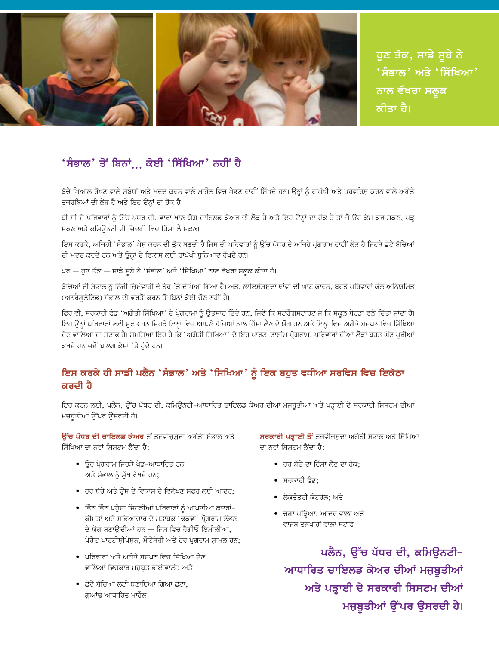

ਹੁਣ ਤੱਕ, ਸਾਡੇ ਸੂਬੇ ਨੇ 'ਸੰਭਾਲ' ਅਤੇ 'ਸਿੱਖਿਆ**'** ਨਾਲ ਵੱਖਰਾ ਸਲੁਕ ਕੀਤਾ ਹੈ।

#### 'ਸੰਭਾਲ' ਤੋਂ ਬਿਨਾਂ<sub>…</sub> ਕੋਈ 'ਸਿੱਖਿਆ' ਨਹੀਂ ਹੈ

ਬੱਚੇ ਖਿਆਲ ਰੱਖਣ ਵਾਲੇ ਸਬੰਧਾਂ ਅਤੇ ਮਦਦ ਕਰਨ ਵਾਲੇ ਮਾਹੌਲ ਵਿਚ ਖੇਡਣ ਰਾਹੀਂ ਸਿੱਖਦੇ ਹਨ। ਉਨ੍ਹਾਂ ਨੂੰ ਹਾਂਪੱਖੀ ਅਤੇ ਪਰਵਰਿਸ਼ ਕਰਨ ਵਾਲੇ ਅਗੇਤੇ ਤਜਰਬਿਆਂ ਦੀ ਲੋੜ ਹੈ ਅਤੇ ਇਹ ਉਨ੍ਹਾਂ ਦਾ ਹੱਕ ਹੈ।

ਬੀ ਸੀ ਦੇ ਪਰਿਵਾਰਾਂ ਨੂੰ ਉੱਚ ਪੱਧਰ ਦੀ, ਵਾਰਾ ਖਾਣ ਯੋਗ ਚਾਇਲਡ ਕੇਅਰ ਦੀ ਲੋੜ ਹੈ ਅਤੇ ਇਹ ਉਨ੍ਹਾਂ ਦਾ ਹੱਕ ਹੈ ਤਾਂ ਜੋ ਉਹ ਕੰਮ ਕਰ ਸਕਣ, ਪੜ੍ਹ ਸਕਣ ਅਤੇ ਕਮਿਉਨਟੀ ਦੀ ਜ਼ਿੰਦਗੀ ਵਿਚ ਹਿੱਸਾ ਲੈ ਸਕਣ।

ਇਸ ਕਰਕੇ, ਅਜਿਹੀ 'ਸੰਭਾਲ' ਪੇਸ਼ ਕਰਨ ਦੀ ਤੁੱਕ ਬਣਦੀ ਹੈ ਜਿਸ ਦੀ ਪਰਿਵਾਰਾਂ ਨੂੰ ਉੱਚ ਪੱਧਰ ਦੇ ਅਜਿਹੇ ਪ੍ਰੋਗਰਾਮ ਰਾਹੀਂ ਲੋੜ ਹੈ ਜਿਹੜੇ ਛੋਟੇ ਬੱਚਿਆਂ ਦੀ ਮਦਦ ਕਰਦੇ ਹਨ ਅਤੇ ਉਨ੍ਹਾਂ ਦੇ ਵਿਕਾਸ ਲਈ ਹਾਂਪੱਖੀ ਬੁਨਿਆਦ ਰੱਖਦੇ ਹਨ।

ਪਰ — ਹੁਣ ਤੱਕ — ਸਾਡੇ ਸੂਬੇ ਨੇ 'ਸੰਭਾਲ' ਅਤੇ 'ਸਿੱਖਿਆ' ਨਾਲ ਵੱਖਰਾ ਸਲੁਕ ਕੀਤਾ ਹੈ।

ਬੱਚਿਆਂ ਦੀ ਸੰਭਾਲ ਨੂੰ ਨਿੱਜੀ ਜ਼ਿੰਮੇਵਾਰੀ ਦੇ ਤੌਰ 'ਤੇ ਦੇਖਿਆ ਗਿਆ ਹੈ। ਅਤੇ, ਲਾਇਸੰਸਸ਼ੁਦਾ ਥਾਂਵਾਂ ਦੀ ਘਾਟ ਕਾਰਨ, ਬਹੁਤੇ ਪਰਿਵਾਰਾਂ ਕੋਲ ਅਨਿਯਮਿਤ (ਅਨਰੈਗਲੇਟਿਡ) ਸੰਭਾਲ ਦੀ ਵਰਤੋਂ ਕਰਨ ਤੋਂ ਬਿਨਾਂ ਕੋਈ ਚੋਣ ਨਹੀਂ ਹੈ।

ਫਿਰ ਵੀ, ਸਰਕਾਰੀ ਫੰਡ 'ਅਗੇਤੀ ਸਿੱਖਿਆ' ਦੇ ਪ੍ਰੋਗਰਾਮਾਂ ਨੂੰ ਉਤਸ਼ਾਹ ਦਿੰਦੇ ਹਨ, ਜਿਵੇਂ ਕਿ ਸਟਰੋਂਗਸਟਾਰਟ ਜੋ ਕਿ ਸਕੂਲ ਬੋਰਡਾਂ ਵਲੋਂ ਦਿੱਤਾ ਜਾਂਦਾ ਹੈ। ਇਹ ੳਨ੍ਹਾਂ ਪਰਿਵਾਰਾਂ ਲਈ ਮਫਤ ਹਨ ਜਿਹੜੇ ਇਨ੍ਹਾਂ ਵਿਚ ਆਪਣੇ ਬੱਚਿਆਂ ਨਾਲ ਹਿੱਸਾ ਲੈਣ ਦੇ ਯੋਗ ਹਨ ਅਤੇ ਇਨ੍ਹਾਂ ਵਿਚ ਅਗੇਤੇ ਬਚਪਨ ਵਿਚ ਸਿੱਖਿਆ ਦੇਣ ਵਾਲਿਆਂ ਦਾ ਸਟਾਫ ਹੈ। ਸਮੱਸਿਆ ਇਹ ਹੈ ਕਿ 'ਅਗੇਤੀ ਸਿੱਖਿਆ' ਦੇ ਇਹ ਪਾਰਟ-ਟਾਈਮ ਪ੍ਰੋਗਰਾਮ, ਪਰਿਵਾਰਾਂ ਦੀਆਂ ਲੋੜਾਂ ਬਹੁਤ ਘੱਟ ਪੂਰੀਆਂ ਕਰਦੇ ਹਨ ਜਦੋਂ ਬਾਲਗ ਕੰਮਾਂ 'ਤੇ ਹੋਦੇ ਹਨ।

#### ਇਸ ਕਰਕੇ ਹੀ ਸਾਡੀ ਪਲੈਨ 'ਸੰਭਾਲ' ਅਤੇ 'ਸਿਖਿਆ' ਨੂੰ ਇਕ ਬਹੁਤ ਵਧੀਆ ਸਰਵਿਸ ਵਿਚ ਇਕੱਠਾ ਕਰਦੀ ਹੈ

ਇਹ ਕਰਨ ਲਈ, ਪਲੈਨ, ਉੱਚ ਪੱਧਰ ਦੀ, ਕਮਿਊਨਟੀ-ਆਧਾਰਿਤ ਚਾਇਲਡ ਕੇਅਰ ਦੀਆਂ ਮਜ਼ਬੂਤੀਆਂ ਅਤੇ ਪੜ੍ਹਾਈ ਦੇ ਸਰਕਾਰੀ ਸਿਸਟਮ ਦੀਆਂ ਮਜ਼ਬੂਤੀਆਂ ਉੱਪਰ ਉਸਰਦੀ ਹੈ।

ਉੱਚ ਪੱਧਰ ਦੀ ਚਾਇਲਡ ਕੇਅਰ ਤੋਂ ਤਜਵੀਜ਼ਸ਼ਦਾ ਅਗੇਤੀ ਸੰਭਾਲ ਅਤੇ ਸਿੱਖਿਆ ਦਾ ਨਵਾਂ ਸਿਸਟਮ ਲੈਂਦਾ ਹੈ:

- ਉਹ ਪ੍ਰੋਗਰਾਮ ਜਿਹੜੇ ਖੇਡ−ਆਧਾਰਿਤ ਹਨ ਅਤੇ ਸੰਭਾਲ ਨੂੰ ਮੁੱਖ ਰੱਖਦੇ ਹਨ;
- ਹਰ ਬੱਚੇ ਅਤੇ ਉਸ ਦੇ ਵਿਕਾਸ ਦੇ ਵਿਲੱਖਣ ਸਫਰ ਲਈ ਆਦਰ;
- ਭਿੰਨ ਭਿੰਨ ਪਹੰਚਾਂ ਜਿਹੜੀਆਂ ਪਰਿਵਾਰਾਂ ਨੰ ਆਪਣੀਆਂ ਕਦਰਾਂ-ਕੀਮਤਾਂ ਅਤੇ ਸਭਿਆਚਾਰ ਦੇ ਮੁਤਾਬਕ 'ਢੁਕਵਾਂ' ਪ੍ਰੋਗਰਾਮ ਲੱਭਣ ਦੇ ਯੋਗ ਬਣਾਉਂਦੀਆਂ ਹਨ — ਜਿਸ ਵਿਚ ਰੈਗੀਓ ਇਮੀਲੀਆ, ਪੇਰੈਂਟ ਪਾਰਟੀਸੀਪੇਸਨ. ਮੌਂਟੇਸੋਰੀ ਅਤੇ ਹੋਰ ਪੋਗਰਾਮ ਸਾਮਲ ਹਨ:
- ਪਰਿਵਾਰਾਂ ਅਤੇ ਅਗੇਤੇ ਬਚਪਨ ਵਿਚ ਸਿੱਖਿਆ ਦੇਣ ਵਾਲਿਆਂ ਵਿਚਕਾਰ ਮਜ਼ਬੂਤ ਭਾਈਵਾਲੀ; ਅਤੇ
- ਛੋਟੇ ਬੱਚਿਆਂ ਲਈ ਬਣਾਇਆ ਗਿਆ ਛੋਟਾ, ਗੁਆਂਢ ਆਧਾਰਿਤ ਮਾਹੌਲ।

ਸਰਕਾਰੀ ਪੜ੍ਹਾਈ ਤੋਂ ਤਜਵੀਜ਼ਸ਼ਦਾ ਅਗੇਤੀ ਸੰਭਾਲ ਅਤੇ ਸਿੱਖਿਆ ਦਾ ਨਵਾਂ ਸਿਸਟਮ ਲੈਂਦਾ ਹੈ:

- ਹਰ ਬੱਚੇ ਦਾ ਹਿੱਸਾ ਲੈਣ ਦਾ ਹੱਕ:
- ਸਰਕਾਰੀ ਫੰਡ:
- ਲੋਕਤੰਤਰੀ ਕੰਟਰੋਲ: ਅਤੇ
- ਚੰਗਾ ਪੜ੍ਹਿਆ, ਆਦਰ ਵਾਲਾ ਅਤੇ ਵਾਜਬ ਤਨਖਾਹਾਂ ਵਾਲਾ ਸਟਾਫ।

ਪਲੈਨ, ਉੱਚ ਪੱਧਰ ਦੀ, ਕਮਿਊਨਟੀ– ਆਧਾਰਿਤ ਚਾਇਲਡ ਕੇਅਰ ਦੀਆਂ ਮਜ਼ਬੂਤੀਆਂ ਅਤੇ ਪੜ੍ਹਾਈ ਦੇ ਸਰਕਾਰੀ ਸਿਸਟਮ ਦੀਆਂ ਮਜ਼ਬੂਤੀਆਂ ਉੱਪਰ ਉਸਰਦੀ ਹੈ।